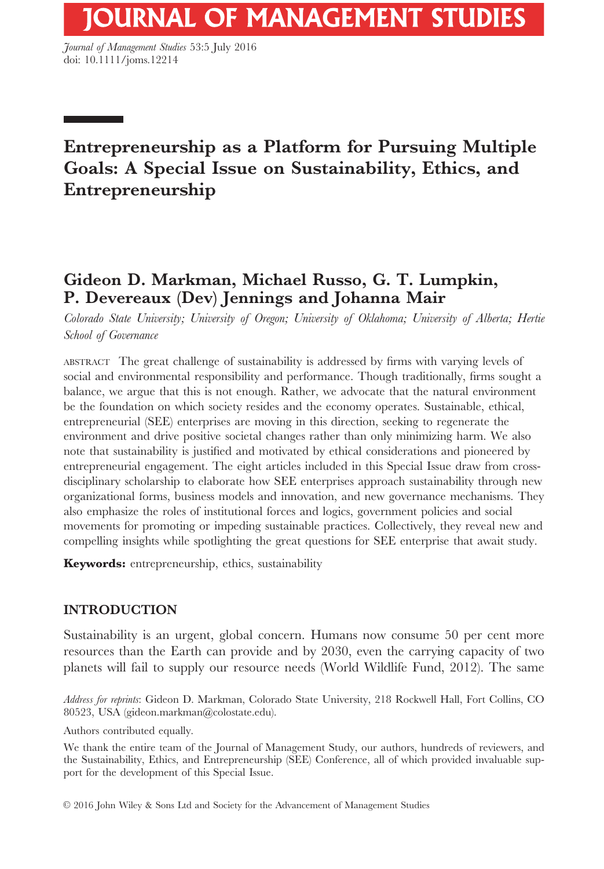Journal of Management Studies 53:5 July 2016 doi: 10.1111/joms.12214

# Entrepreneurship as a Platform for Pursuing Multiple Goals: A Special Issue on Sustainability, Ethics, and Entrepreneurship

## Gideon D. Markman, Michael Russo, G. T. Lumpkin, P. Devereaux (Dev) Jennings and Johanna Mair

Colorado State University; University of Oregon; University of Oklahoma; University of Alberta; Hertie School of Governance

ABSTRACT The great challenge of sustainability is addressed by firms with varying levels of social and environmental responsibility and performance. Though traditionally, firms sought a balance, we argue that this is not enough. Rather, we advocate that the natural environment be the foundation on which society resides and the economy operates. Sustainable, ethical, entrepreneurial (SEE) enterprises are moving in this direction, seeking to regenerate the environment and drive positive societal changes rather than only minimizing harm. We also note that sustainability is justified and motivated by ethical considerations and pioneered by entrepreneurial engagement. The eight articles included in this Special Issue draw from crossdisciplinary scholarship to elaborate how SEE enterprises approach sustainability through new organizational forms, business models and innovation, and new governance mechanisms. They also emphasize the roles of institutional forces and logics, government policies and social movements for promoting or impeding sustainable practices. Collectively, they reveal new and compelling insights while spotlighting the great questions for SEE enterprise that await study.

Keywords: entrepreneurship, ethics, sustainability

## INTRODUCTION

Sustainability is an urgent, global concern. Humans now consume 50 per cent more resources than the Earth can provide and by 2030, even the carrying capacity of two planets will fail to supply our resource needs (World Wildlife Fund, 2012). The same

Address for reprints: Gideon D. Markman, Colorado State University, 218 Rockwell Hall, Fort Collins, CO 80523, USA (gideon.markman@colostate.edu).

Authors contributed equally.

We thank the entire team of the Journal of Management Study, our authors, hundreds of reviewers, and the Sustainability, Ethics, and Entrepreneurship (SEE) Conference, all of which provided invaluable support for the development of this Special Issue.

V<sup>C</sup> 2016 John Wiley & Sons Ltd and Society for the Advancement of Management Studies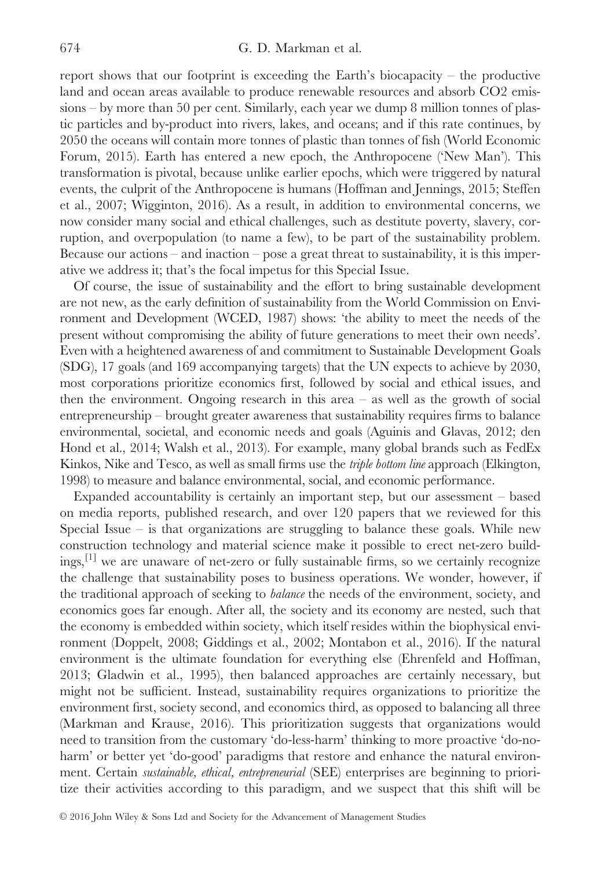report shows that our footprint is exceeding the Earth's biocapacity – the productive land and ocean areas available to produce renewable resources and absorb CO2 emissions – by more than 50 per cent. Similarly, each year we dump 8 million tonnes of plastic particles and by-product into rivers, lakes, and oceans; and if this rate continues, by 2050 the oceans will contain more tonnes of plastic than tonnes of fish (World Economic Forum, 2015). Earth has entered a new epoch, the Anthropocene ('New Man'). This transformation is pivotal, because unlike earlier epochs, which were triggered by natural events, the culprit of the Anthropocene is humans (Hoffman and Jennings, 2015; Steffen et al., 2007; Wigginton, 2016). As a result, in addition to environmental concerns, we now consider many social and ethical challenges, such as destitute poverty, slavery, corruption, and overpopulation (to name a few), to be part of the sustainability problem. Because our actions – and inaction – pose a great threat to sustainability, it is this imperative we address it; that's the focal impetus for this Special Issue.

Of course, the issue of sustainability and the effort to bring sustainable development are not new, as the early definition of sustainability from the World Commission on Environment and Development (WCED, 1987) shows: 'the ability to meet the needs of the present without compromising the ability of future generations to meet their own needs'. Even with a heightened awareness of and commitment to Sustainable Development Goals (SDG), 17 goals (and 169 accompanying targets) that the UN expects to achieve by 2030, most corporations prioritize economics first, followed by social and ethical issues, and then the environment. Ongoing research in this area – as well as the growth of social entrepreneurship – brought greater awareness that sustainability requires firms to balance environmental, societal, and economic needs and goals (Aguinis and Glavas, 2012; den Hond et al., 2014; Walsh et al., 2013). For example, many global brands such as FedEx Kinkos, Nike and Tesco, as well as small firms use the *triple bottom line* approach (Elkington, 1998) to measure and balance environmental, social, and economic performance.

Expanded accountability is certainly an important step, but our assessment – based on media reports, published research, and over 120 papers that we reviewed for this Special Issue – is that organizations are struggling to balance these goals. While new construction technology and material science make it possible to erect net-zero buildings,  $[1]$  we are unaware of net-zero or fully sustainable firms, so we certainly recognize the challenge that sustainability poses to business operations. We wonder, however, if the traditional approach of seeking to *balance* the needs of the environment, society, and economics goes far enough. After all, the society and its economy are nested, such that the economy is embedded within society, which itself resides within the biophysical environment (Doppelt, 2008; Giddings et al., 2002; Montabon et al., 2016). If the natural environment is the ultimate foundation for everything else (Ehrenfeld and Hoffman, 2013; Gladwin et al., 1995), then balanced approaches are certainly necessary, but might not be sufficient. Instead, sustainability requires organizations to prioritize the environment first, society second, and economics third, as opposed to balancing all three (Markman and Krause, 2016). This prioritization suggests that organizations would need to transition from the customary 'do-less-harm' thinking to more proactive 'do-noharm' or better yet 'do-good' paradigms that restore and enhance the natural environment. Certain *sustainable, ethical, entrepreneurial* (SEE) enterprises are beginning to prioritize their activities according to this paradigm, and we suspect that this shift will be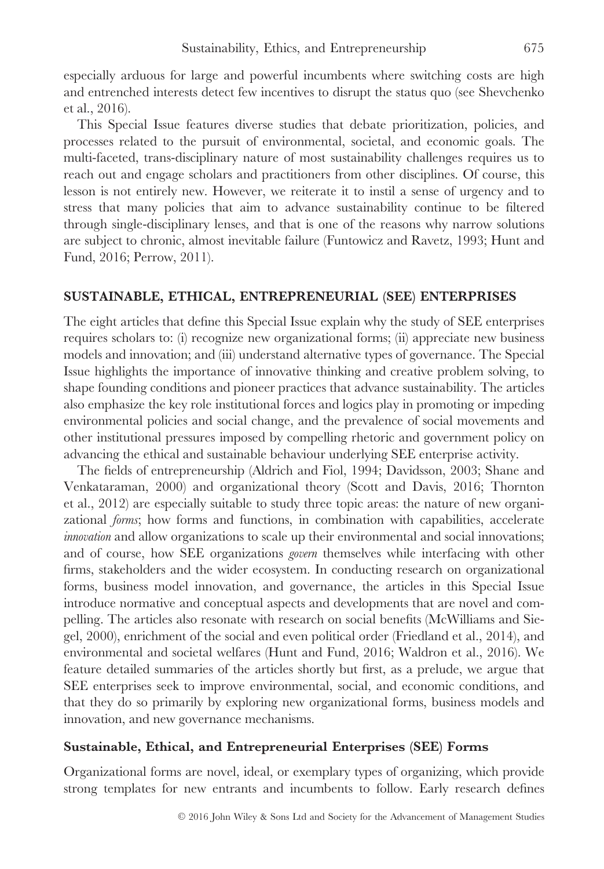especially arduous for large and powerful incumbents where switching costs are high and entrenched interests detect few incentives to disrupt the status quo (see Shevchenko et al., 2016).

This Special Issue features diverse studies that debate prioritization, policies, and processes related to the pursuit of environmental, societal, and economic goals. The multi-faceted, trans-disciplinary nature of most sustainability challenges requires us to reach out and engage scholars and practitioners from other disciplines. Of course, this lesson is not entirely new. However, we reiterate it to instil a sense of urgency and to stress that many policies that aim to advance sustainability continue to be filtered through single-disciplinary lenses, and that is one of the reasons why narrow solutions are subject to chronic, almost inevitable failure (Funtowicz and Ravetz, 1993; Hunt and Fund, 2016; Perrow, 2011).

#### SUSTAINABLE, ETHICAL, ENTREPRENEURIAL (SEE) ENTERPRISES

The eight articles that define this Special Issue explain why the study of SEE enterprises requires scholars to: (i) recognize new organizational forms; (ii) appreciate new business models and innovation; and (iii) understand alternative types of governance. The Special Issue highlights the importance of innovative thinking and creative problem solving, to shape founding conditions and pioneer practices that advance sustainability. The articles also emphasize the key role institutional forces and logics play in promoting or impeding environmental policies and social change, and the prevalence of social movements and other institutional pressures imposed by compelling rhetoric and government policy on advancing the ethical and sustainable behaviour underlying SEE enterprise activity.

The fields of entrepreneurship (Aldrich and Fiol, 1994; Davidsson, 2003; Shane and Venkataraman, 2000) and organizational theory (Scott and Davis, 2016; Thornton et al., 2012) are especially suitable to study three topic areas: the nature of new organizational forms; how forms and functions, in combination with capabilities, accelerate innovation and allow organizations to scale up their environmental and social innovations; and of course, how SEE organizations govern themselves while interfacing with other firms, stakeholders and the wider ecosystem. In conducting research on organizational forms, business model innovation, and governance, the articles in this Special Issue introduce normative and conceptual aspects and developments that are novel and compelling. The articles also resonate with research on social benefits (McWilliams and Siegel, 2000), enrichment of the social and even political order (Friedland et al., 2014), and environmental and societal welfares (Hunt and Fund, 2016; Waldron et al., 2016). We feature detailed summaries of the articles shortly but first, as a prelude, we argue that SEE enterprises seek to improve environmental, social, and economic conditions, and that they do so primarily by exploring new organizational forms, business models and innovation, and new governance mechanisms.

#### Sustainable, Ethical, and Entrepreneurial Enterprises (SEE) Forms

Organizational forms are novel, ideal, or exemplary types of organizing, which provide strong templates for new entrants and incumbents to follow. Early research defines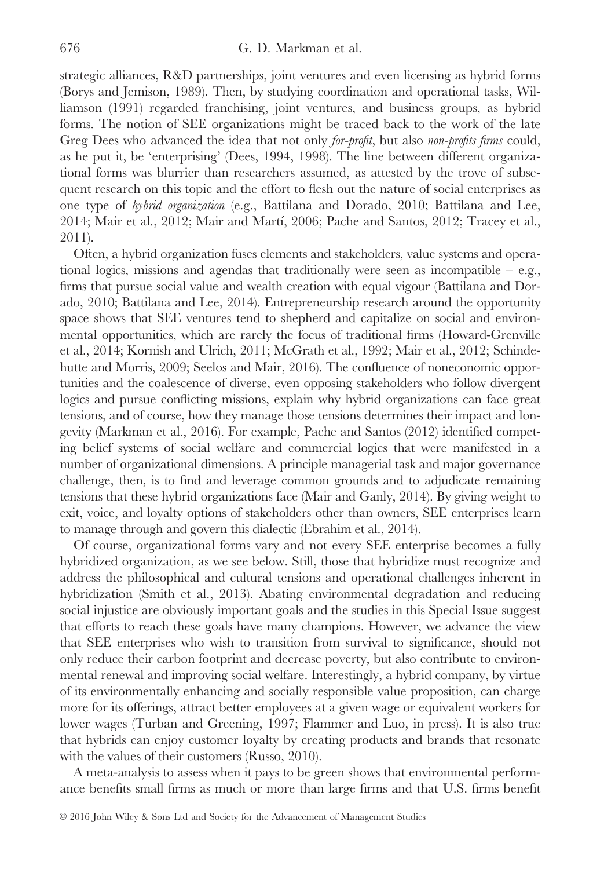strategic alliances, R&D partnerships, joint ventures and even licensing as hybrid forms (Borys and Jemison, 1989). Then, by studying coordination and operational tasks, Williamson (1991) regarded franchising, joint ventures, and business groups, as hybrid forms. The notion of SEE organizations might be traced back to the work of the late Greg Dees who advanced the idea that not only for-profit, but also non-profits firms could, as he put it, be 'enterprising' (Dees, 1994, 1998). The line between different organizational forms was blurrier than researchers assumed, as attested by the trove of subsequent research on this topic and the effort to flesh out the nature of social enterprises as one type of hybrid organization (e.g., Battilana and Dorado, 2010; Battilana and Lee, 2014; Mair et al., 2012; Mair and Martí, 2006; Pache and Santos, 2012; Tracey et al., 2011).

Often, a hybrid organization fuses elements and stakeholders, value systems and operational logics, missions and agendas that traditionally were seen as incompatible  $-$  e.g., firms that pursue social value and wealth creation with equal vigour (Battilana and Dorado, 2010; Battilana and Lee, 2014). Entrepreneurship research around the opportunity space shows that SEE ventures tend to shepherd and capitalize on social and environmental opportunities, which are rarely the focus of traditional firms (Howard-Grenville et al., 2014; Kornish and Ulrich, 2011; McGrath et al., 1992; Mair et al., 2012; Schindehutte and Morris, 2009; Seelos and Mair, 2016). The confluence of noneconomic opportunities and the coalescence of diverse, even opposing stakeholders who follow divergent logics and pursue conflicting missions, explain why hybrid organizations can face great tensions, and of course, how they manage those tensions determines their impact and longevity (Markman et al., 2016). For example, Pache and Santos (2012) identified competing belief systems of social welfare and commercial logics that were manifested in a number of organizational dimensions. A principle managerial task and major governance challenge, then, is to find and leverage common grounds and to adjudicate remaining tensions that these hybrid organizations face (Mair and Ganly, 2014). By giving weight to exit, voice, and loyalty options of stakeholders other than owners, SEE enterprises learn to manage through and govern this dialectic (Ebrahim et al., 2014).

Of course, organizational forms vary and not every SEE enterprise becomes a fully hybridized organization, as we see below. Still, those that hybridize must recognize and address the philosophical and cultural tensions and operational challenges inherent in hybridization (Smith et al., 2013). Abating environmental degradation and reducing social injustice are obviously important goals and the studies in this Special Issue suggest that efforts to reach these goals have many champions. However, we advance the view that SEE enterprises who wish to transition from survival to significance, should not only reduce their carbon footprint and decrease poverty, but also contribute to environmental renewal and improving social welfare. Interestingly, a hybrid company, by virtue of its environmentally enhancing and socially responsible value proposition, can charge more for its offerings, attract better employees at a given wage or equivalent workers for lower wages (Turban and Greening, 1997; Flammer and Luo, in press). It is also true that hybrids can enjoy customer loyalty by creating products and brands that resonate with the values of their customers (Russo, 2010).

A meta-analysis to assess when it pays to be green shows that environmental performance benefits small firms as much or more than large firms and that U.S. firms benefit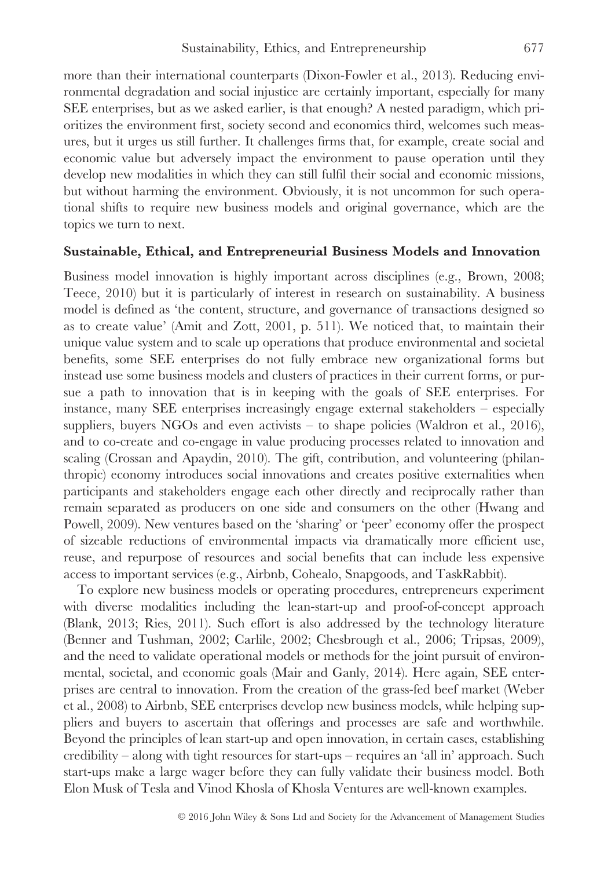more than their international counterparts (Dixon-Fowler et al., 2013). Reducing environmental degradation and social injustice are certainly important, especially for many SEE enterprises, but as we asked earlier, is that enough? A nested paradigm, which prioritizes the environment first, society second and economics third, welcomes such measures, but it urges us still further. It challenges firms that, for example, create social and economic value but adversely impact the environment to pause operation until they develop new modalities in which they can still fulfil their social and economic missions, but without harming the environment. Obviously, it is not uncommon for such operational shifts to require new business models and original governance, which are the topics we turn to next.

#### Sustainable, Ethical, and Entrepreneurial Business Models and Innovation

Business model innovation is highly important across disciplines (e.g., Brown, 2008; Teece, 2010) but it is particularly of interest in research on sustainability. A business model is defined as 'the content, structure, and governance of transactions designed so as to create value' (Amit and Zott, 2001, p. 511). We noticed that, to maintain their unique value system and to scale up operations that produce environmental and societal benefits, some SEE enterprises do not fully embrace new organizational forms but instead use some business models and clusters of practices in their current forms, or pursue a path to innovation that is in keeping with the goals of SEE enterprises. For instance, many SEE enterprises increasingly engage external stakeholders – especially suppliers, buyers NGOs and even activists – to shape policies (Waldron et al., 2016), and to co-create and co-engage in value producing processes related to innovation and scaling (Crossan and Apaydin, 2010). The gift, contribution, and volunteering (philanthropic) economy introduces social innovations and creates positive externalities when participants and stakeholders engage each other directly and reciprocally rather than remain separated as producers on one side and consumers on the other (Hwang and Powell, 2009). New ventures based on the 'sharing' or 'peer' economy offer the prospect of sizeable reductions of environmental impacts via dramatically more efficient use, reuse, and repurpose of resources and social benefits that can include less expensive access to important services (e.g., Airbnb, Cohealo, Snapgoods, and TaskRabbit).

To explore new business models or operating procedures, entrepreneurs experiment with diverse modalities including the lean-start-up and proof-of-concept approach (Blank, 2013; Ries, 2011). Such effort is also addressed by the technology literature (Benner and Tushman, 2002; Carlile, 2002; Chesbrough et al., 2006; Tripsas, 2009), and the need to validate operational models or methods for the joint pursuit of environmental, societal, and economic goals (Mair and Ganly, 2014). Here again, SEE enterprises are central to innovation. From the creation of the grass-fed beef market (Weber et al., 2008) to Airbnb, SEE enterprises develop new business models, while helping suppliers and buyers to ascertain that offerings and processes are safe and worthwhile. Beyond the principles of lean start-up and open innovation, in certain cases, establishing credibility – along with tight resources for start-ups – requires an 'all in' approach. Such start-ups make a large wager before they can fully validate their business model. Both Elon Musk of Tesla and Vinod Khosla of Khosla Ventures are well-known examples.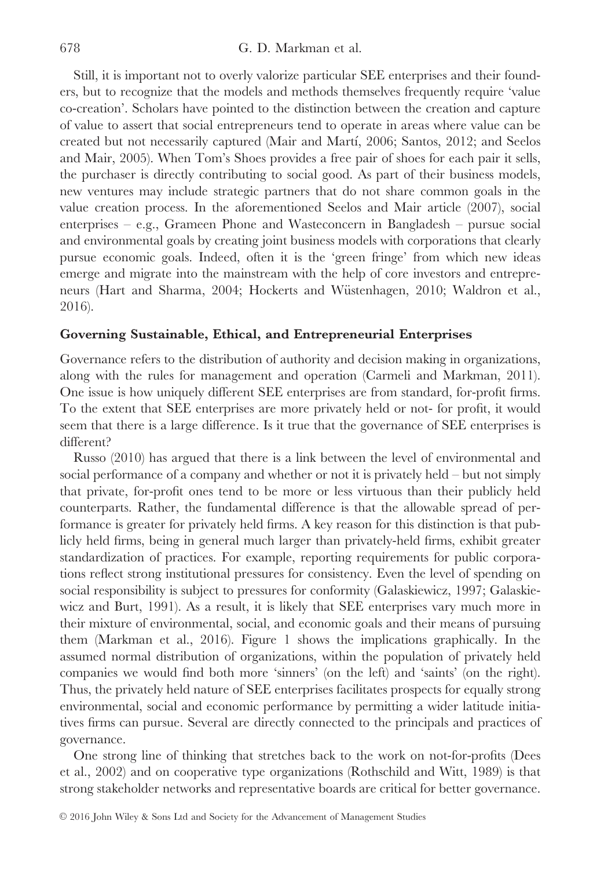Still, it is important not to overly valorize particular SEE enterprises and their founders, but to recognize that the models and methods themselves frequently require 'value co-creation'. Scholars have pointed to the distinction between the creation and capture of value to assert that social entrepreneurs tend to operate in areas where value can be created but not necessarily captured (Mair and Martí, 2006; Santos, 2012; and Seelos and Mair, 2005). When Tom's Shoes provides a free pair of shoes for each pair it sells, the purchaser is directly contributing to social good. As part of their business models, new ventures may include strategic partners that do not share common goals in the value creation process. In the aforementioned Seelos and Mair article (2007), social enterprises – e.g., Grameen Phone and Wasteconcern in Bangladesh – pursue social and environmental goals by creating joint business models with corporations that clearly pursue economic goals. Indeed, often it is the 'green fringe' from which new ideas emerge and migrate into the mainstream with the help of core investors and entrepreneurs (Hart and Sharma, 2004; Hockerts and Wüstenhagen, 2010; Waldron et al., 2016).

#### Governing Sustainable, Ethical, and Entrepreneurial Enterprises

Governance refers to the distribution of authority and decision making in organizations, along with the rules for management and operation (Carmeli and Markman, 2011). One issue is how uniquely different SEE enterprises are from standard, for-profit firms. To the extent that SEE enterprises are more privately held or not- for profit, it would seem that there is a large difference. Is it true that the governance of SEE enterprises is different?

Russo (2010) has argued that there is a link between the level of environmental and social performance of a company and whether or not it is privately held – but not simply that private, for-profit ones tend to be more or less virtuous than their publicly held counterparts. Rather, the fundamental difference is that the allowable spread of performance is greater for privately held firms. A key reason for this distinction is that publicly held firms, being in general much larger than privately-held firms, exhibit greater standardization of practices. For example, reporting requirements for public corporations reflect strong institutional pressures for consistency. Even the level of spending on social responsibility is subject to pressures for conformity (Galaskiewicz, 1997; Galaskiewicz and Burt, 1991). As a result, it is likely that SEE enterprises vary much more in their mixture of environmental, social, and economic goals and their means of pursuing them (Markman et al., 2016). Figure 1 shows the implications graphically. In the assumed normal distribution of organizations, within the population of privately held companies we would find both more 'sinners' (on the left) and 'saints' (on the right). Thus, the privately held nature of SEE enterprises facilitates prospects for equally strong environmental, social and economic performance by permitting a wider latitude initiatives firms can pursue. Several are directly connected to the principals and practices of governance.

One strong line of thinking that stretches back to the work on not-for-profits (Dees et al., 2002) and on cooperative type organizations (Rothschild and Witt, 1989) is that strong stakeholder networks and representative boards are critical for better governance.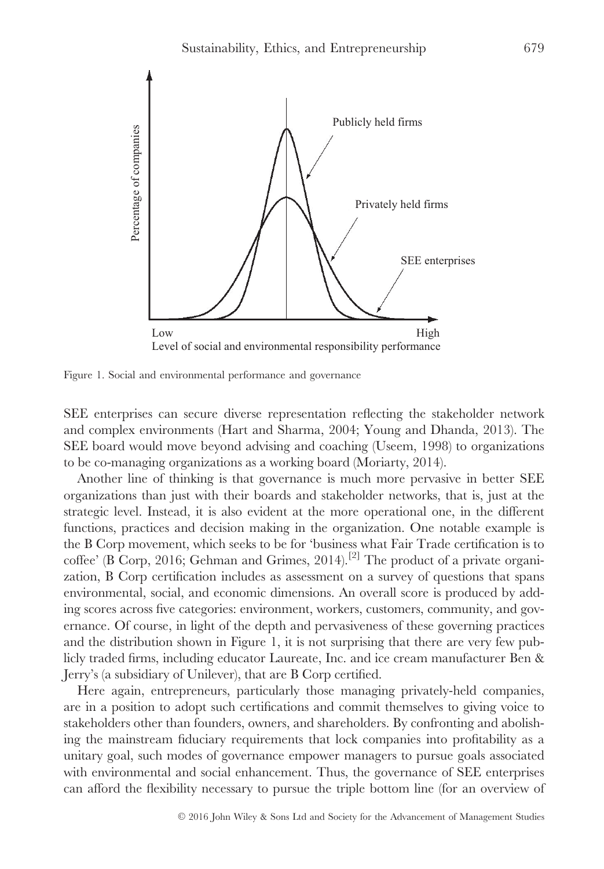

Figure 1. Social and environmental performance and governance

SEE enterprises can secure diverse representation reflecting the stakeholder network and complex environments (Hart and Sharma, 2004; Young and Dhanda, 2013). The SEE board would move beyond advising and coaching (Useem, 1998) to organizations to be co-managing organizations as a working board (Moriarty, 2014).

Another line of thinking is that governance is much more pervasive in better SEE organizations than just with their boards and stakeholder networks, that is, just at the strategic level. Instead, it is also evident at the more operational one, in the different functions, practices and decision making in the organization. One notable example is the B Corp movement, which seeks to be for 'business what Fair Trade certification is to coffee' (B Corp, 2016; Gehman and Grimes, 2014).<sup>[2]</sup> The product of a private organization, B Corp certification includes as assessment on a survey of questions that spans environmental, social, and economic dimensions. An overall score is produced by adding scores across five categories: environment, workers, customers, community, and governance. Of course, in light of the depth and pervasiveness of these governing practices and the distribution shown in Figure 1, it is not surprising that there are very few publicly traded firms, including educator Laureate, Inc. and ice cream manufacturer Ben & Jerry's (a subsidiary of Unilever), that are B Corp certified.

Here again, entrepreneurs, particularly those managing privately-held companies, are in a position to adopt such certifications and commit themselves to giving voice to stakeholders other than founders, owners, and shareholders. By confronting and abolishing the mainstream fiduciary requirements that lock companies into profitability as a unitary goal, such modes of governance empower managers to pursue goals associated with environmental and social enhancement. Thus, the governance of SEE enterprises can afford the flexibility necessary to pursue the triple bottom line (for an overview of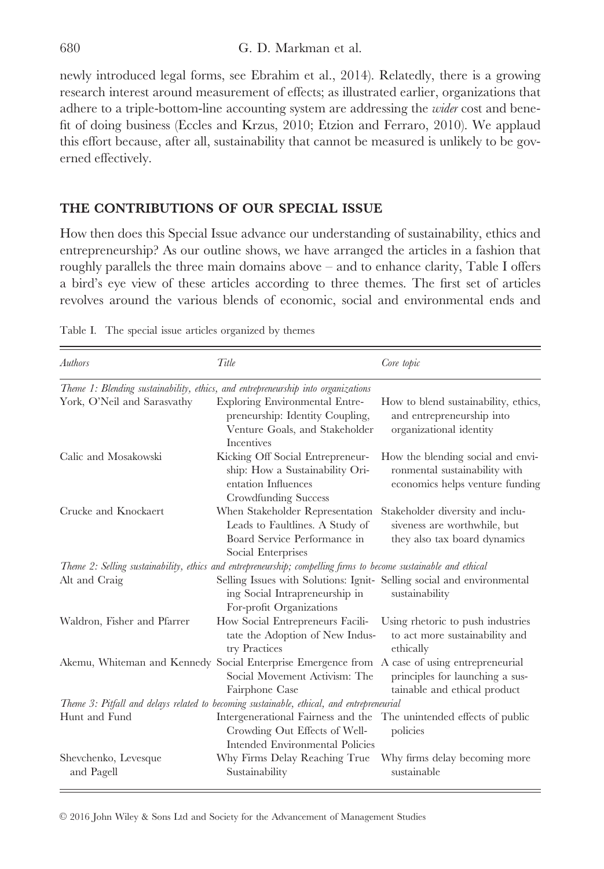newly introduced legal forms, see Ebrahim et al., 2014). Relatedly, there is a growing research interest around measurement of effects; as illustrated earlier, organizations that adhere to a triple-bottom-line accounting system are addressing the wider cost and benefit of doing business (Eccles and Krzus, 2010; Etzion and Ferraro, 2010). We applaud this effort because, after all, sustainability that cannot be measured is unlikely to be governed effectively.

#### THE CONTRIBUTIONS OF OUR SPECIAL ISSUE

How then does this Special Issue advance our understanding of sustainability, ethics and entrepreneurship? As our outline shows, we have arranged the articles in a fashion that roughly parallels the three main domains above – and to enhance clarity, Table I offers a bird's eye view of these articles according to three themes. The first set of articles revolves around the various blends of economic, social and environmental ends and

| Authors                                                                                                          | Title                                                                                                                                           | Core topic                                                                                            |
|------------------------------------------------------------------------------------------------------------------|-------------------------------------------------------------------------------------------------------------------------------------------------|-------------------------------------------------------------------------------------------------------|
| Theme 1: Blending sustainability, ethics, and entrepreneurship into organizations                                |                                                                                                                                                 |                                                                                                       |
| York, O'Neil and Sarasvathy                                                                                      | <b>Exploring Environmental Entre-</b><br>preneurship: Identity Coupling,<br>Venture Goals, and Stakeholder<br>Incentives                        | How to blend sustainability, ethics,<br>and entrepreneurship into<br>organizational identity          |
| Calic and Mosakowski                                                                                             | Kicking Off Social Entrepreneur-<br>ship: How a Sustainability Ori-<br>entation Influences<br>Crowdfunding Success                              | How the blending social and envi-<br>ronmental sustainability with<br>economics helps venture funding |
| Crucke and Knockaert                                                                                             | When Stakeholder Representation<br>Leads to Faultlines. A Study of<br>Board Service Performance in<br>Social Enterprises                        | Stakeholder diversity and inclu-<br>siveness are worthwhile, but<br>they also tax board dynamics      |
| Theme 2: Selling sustainability, ethics and entrepreneurship; compelling firms to become sustainable and ethical |                                                                                                                                                 |                                                                                                       |
| Alt and Craig                                                                                                    | Selling Issues with Solutions: Ignit- Selling social and environmental<br>ing Social Intrapreneurship in<br>For-profit Organizations            | sustainability                                                                                        |
| Waldron, Fisher and Pfarrer                                                                                      | How Social Entrepreneurs Facili-<br>tate the Adoption of New Indus-<br>try Practices                                                            | Using rhetoric to push industries<br>to act more sustainability and<br>ethically                      |
|                                                                                                                  | Akemu, Whiteman and Kennedy Social Enterprise Emergence from A case of using entrepreneurial<br>Social Movement Activism: The<br>Fairphone Case | principles for launching a sus-<br>tainable and ethical product                                       |
| Theme 3: Pitfall and delays related to becoming sustainable, ethical, and entrepreneurial                        |                                                                                                                                                 |                                                                                                       |
| Hunt and Fund                                                                                                    | Intergenerational Fairness and the The unintended effects of public<br>Crowding Out Effects of Well-<br>Intended Environmental Policies         | policies                                                                                              |
| Shevchenko, Levesque<br>and Pagell                                                                               | Why Firms Delay Reaching True<br>Sustainability                                                                                                 | Why firms delay becoming more<br>sustainable                                                          |

Table I. The special issue articles organized by themes

V<sup>C</sup> 2016 John Wiley & Sons Ltd and Society for the Advancement of Management Studies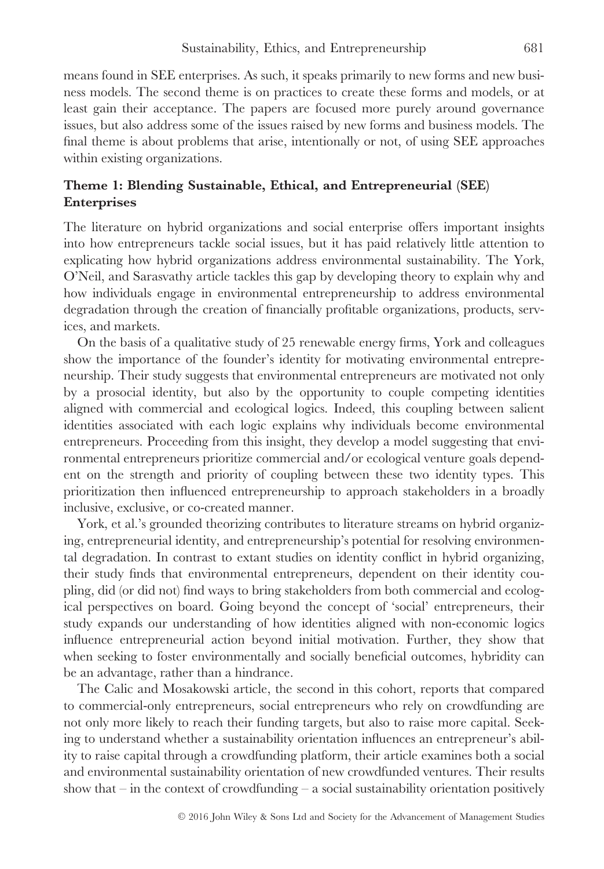means found in SEE enterprises. As such, it speaks primarily to new forms and new business models. The second theme is on practices to create these forms and models, or at least gain their acceptance. The papers are focused more purely around governance issues, but also address some of the issues raised by new forms and business models. The final theme is about problems that arise, intentionally or not, of using SEE approaches within existing organizations.

## Theme 1: Blending Sustainable, Ethical, and Entrepreneurial (SEE) Enterprises

The literature on hybrid organizations and social enterprise offers important insights into how entrepreneurs tackle social issues, but it has paid relatively little attention to explicating how hybrid organizations address environmental sustainability. The York, O'Neil, and Sarasvathy article tackles this gap by developing theory to explain why and how individuals engage in environmental entrepreneurship to address environmental degradation through the creation of financially profitable organizations, products, services, and markets.

On the basis of a qualitative study of 25 renewable energy firms, York and colleagues show the importance of the founder's identity for motivating environmental entrepreneurship. Their study suggests that environmental entrepreneurs are motivated not only by a prosocial identity, but also by the opportunity to couple competing identities aligned with commercial and ecological logics. Indeed, this coupling between salient identities associated with each logic explains why individuals become environmental entrepreneurs. Proceeding from this insight, they develop a model suggesting that environmental entrepreneurs prioritize commercial and/or ecological venture goals dependent on the strength and priority of coupling between these two identity types. This prioritization then influenced entrepreneurship to approach stakeholders in a broadly inclusive, exclusive, or co-created manner.

York, et al.'s grounded theorizing contributes to literature streams on hybrid organizing, entrepreneurial identity, and entrepreneurship's potential for resolving environmental degradation. In contrast to extant studies on identity conflict in hybrid organizing, their study finds that environmental entrepreneurs, dependent on their identity coupling, did (or did not) find ways to bring stakeholders from both commercial and ecological perspectives on board. Going beyond the concept of 'social' entrepreneurs, their study expands our understanding of how identities aligned with non-economic logics influence entrepreneurial action beyond initial motivation. Further, they show that when seeking to foster environmentally and socially beneficial outcomes, hybridity can be an advantage, rather than a hindrance.

The Calic and Mosakowski article, the second in this cohort, reports that compared to commercial-only entrepreneurs, social entrepreneurs who rely on crowdfunding are not only more likely to reach their funding targets, but also to raise more capital. Seeking to understand whether a sustainability orientation influences an entrepreneur's ability to raise capital through a crowdfunding platform, their article examines both a social and environmental sustainability orientation of new crowdfunded ventures. Their results show that  $-$  in the context of crowdfunding  $-$  a social sustainability orientation positively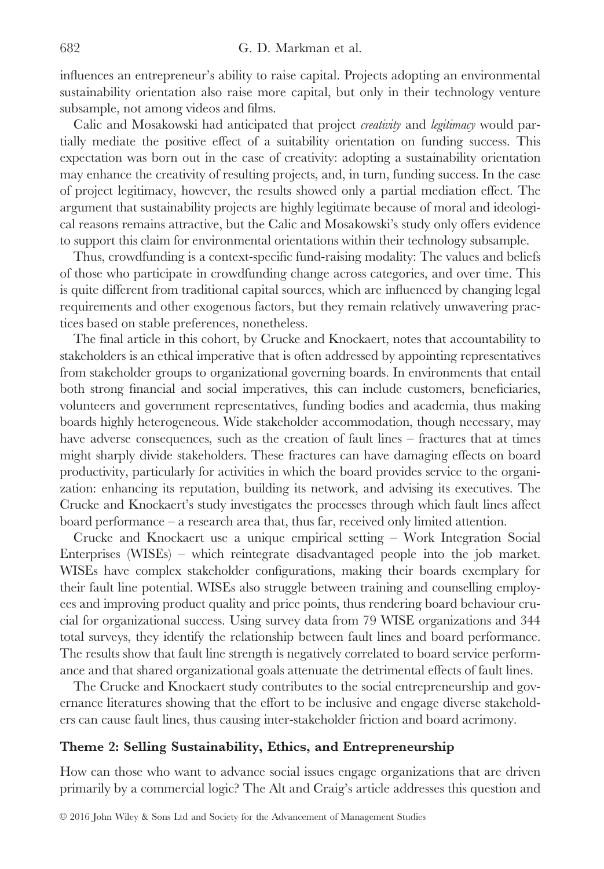influences an entrepreneur's ability to raise capital. Projects adopting an environmental sustainability orientation also raise more capital, but only in their technology venture subsample, not among videos and films.

Calic and Mosakowski had anticipated that project *creativity* and *legitimacy* would partially mediate the positive effect of a suitability orientation on funding success. This expectation was born out in the case of creativity: adopting a sustainability orientation may enhance the creativity of resulting projects, and, in turn, funding success. In the case of project legitimacy, however, the results showed only a partial mediation effect. The argument that sustainability projects are highly legitimate because of moral and ideological reasons remains attractive, but the Calic and Mosakowski's study only offers evidence to support this claim for environmental orientations within their technology subsample.

Thus, crowdfunding is a context-specific fund-raising modality: The values and beliefs of those who participate in crowdfunding change across categories, and over time. This is quite different from traditional capital sources, which are influenced by changing legal requirements and other exogenous factors, but they remain relatively unwavering practices based on stable preferences, nonetheless.

The final article in this cohort, by Crucke and Knockaert, notes that accountability to stakeholders is an ethical imperative that is often addressed by appointing representatives from stakeholder groups to organizational governing boards. In environments that entail both strong financial and social imperatives, this can include customers, beneficiaries, volunteers and government representatives, funding bodies and academia, thus making boards highly heterogeneous. Wide stakeholder accommodation, though necessary, may have adverse consequences, such as the creation of fault lines – fractures that at times might sharply divide stakeholders. These fractures can have damaging effects on board productivity, particularly for activities in which the board provides service to the organization: enhancing its reputation, building its network, and advising its executives. The Crucke and Knockaert's study investigates the processes through which fault lines affect board performance – a research area that, thus far, received only limited attention.

Crucke and Knockaert use a unique empirical setting – Work Integration Social Enterprises (WISEs) – which reintegrate disadvantaged people into the job market. WISEs have complex stakeholder configurations, making their boards exemplary for their fault line potential. WISEs also struggle between training and counselling employees and improving product quality and price points, thus rendering board behaviour crucial for organizational success. Using survey data from 79 WISE organizations and 344 total surveys, they identify the relationship between fault lines and board performance. The results show that fault line strength is negatively correlated to board service performance and that shared organizational goals attenuate the detrimental effects of fault lines.

The Crucke and Knockaert study contributes to the social entrepreneurship and governance literatures showing that the effort to be inclusive and engage diverse stakeholders can cause fault lines, thus causing inter-stakeholder friction and board acrimony.

#### Theme 2: Selling Sustainability, Ethics, and Entrepreneurship

How can those who want to advance social issues engage organizations that are driven primarily by a commercial logic? The Alt and Craig's article addresses this question and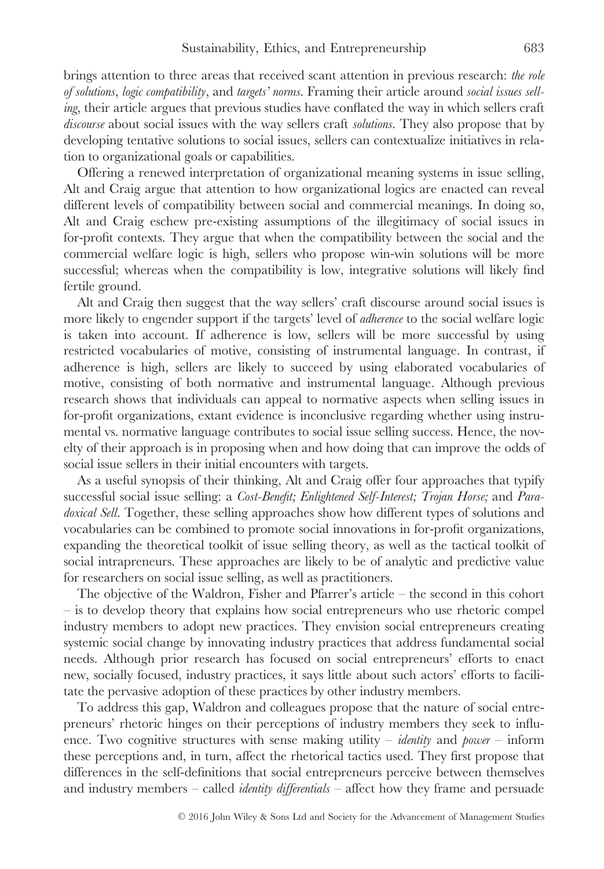brings attention to three areas that received scant attention in previous research: the role of solutions, logic compatibility, and targets' norms. Framing their article around social issues selling, their article argues that previous studies have conflated the way in which sellers craft discourse about social issues with the way sellers craft *solutions*. They also propose that by developing tentative solutions to social issues, sellers can contextualize initiatives in relation to organizational goals or capabilities.

Offering a renewed interpretation of organizational meaning systems in issue selling, Alt and Craig argue that attention to how organizational logics are enacted can reveal different levels of compatibility between social and commercial meanings. In doing so, Alt and Craig eschew pre-existing assumptions of the illegitimacy of social issues in for-profit contexts. They argue that when the compatibility between the social and the commercial welfare logic is high, sellers who propose win-win solutions will be more successful; whereas when the compatibility is low, integrative solutions will likely find fertile ground.

Alt and Craig then suggest that the way sellers' craft discourse around social issues is more likely to engender support if the targets' level of adherence to the social welfare logic is taken into account. If adherence is low, sellers will be more successful by using restricted vocabularies of motive, consisting of instrumental language. In contrast, if adherence is high, sellers are likely to succeed by using elaborated vocabularies of motive, consisting of both normative and instrumental language. Although previous research shows that individuals can appeal to normative aspects when selling issues in for-profit organizations, extant evidence is inconclusive regarding whether using instrumental vs. normative language contributes to social issue selling success. Hence, the novelty of their approach is in proposing when and how doing that can improve the odds of social issue sellers in their initial encounters with targets.

As a useful synopsis of their thinking, Alt and Craig offer four approaches that typify successful social issue selling: a *Cost-Benefit; Enlightened Self-Interest; Trojan Horse;* and *Para*doxical Sell. Together, these selling approaches show how different types of solutions and vocabularies can be combined to promote social innovations in for-profit organizations, expanding the theoretical toolkit of issue selling theory, as well as the tactical toolkit of social intrapreneurs. These approaches are likely to be of analytic and predictive value for researchers on social issue selling, as well as practitioners.

The objective of the Waldron, Fisher and Pfarrer's article – the second in this cohort – is to develop theory that explains how social entrepreneurs who use rhetoric compel industry members to adopt new practices. They envision social entrepreneurs creating systemic social change by innovating industry practices that address fundamental social needs. Although prior research has focused on social entrepreneurs' efforts to enact new, socially focused, industry practices, it says little about such actors' efforts to facilitate the pervasive adoption of these practices by other industry members.

To address this gap, Waldron and colleagues propose that the nature of social entrepreneurs' rhetoric hinges on their perceptions of industry members they seek to influence. Two cognitive structures with sense making utility – *identity* and *power* – inform these perceptions and, in turn, affect the rhetorical tactics used. They first propose that differences in the self-definitions that social entrepreneurs perceive between themselves and industry members – called *identity differentials* – affect how they frame and persuade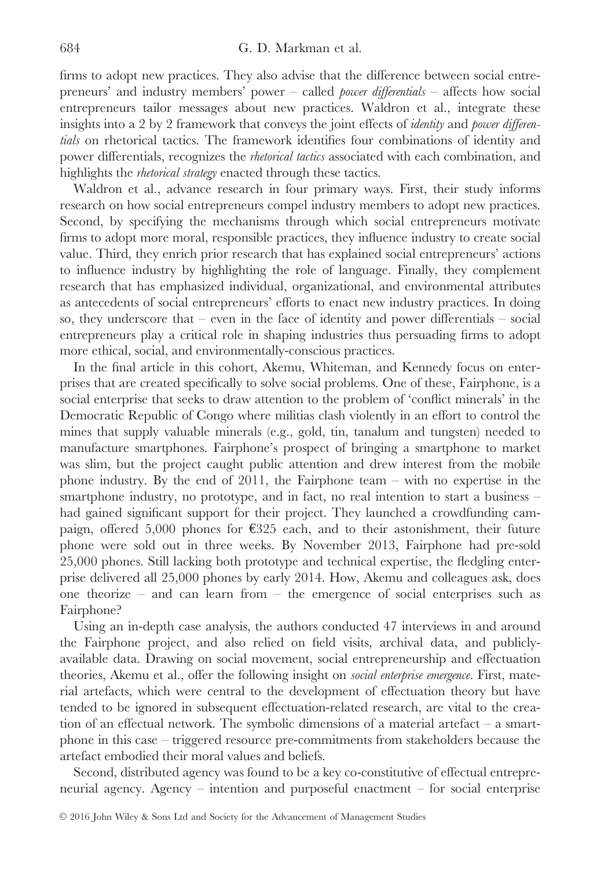firms to adopt new practices. They also advise that the difference between social entrepreneurs' and industry members' power – called power differentials – affects how social entrepreneurs tailor messages about new practices. Waldron et al., integrate these insights into a 2 by 2 framework that conveys the joint effects of identity and power differentials on rhetorical tactics. The framework identifies four combinations of identity and power differentials, recognizes the *rhetorical tactics* associated with each combination, and highlights the *rhetorical strategy* enacted through these tactics.

Waldron et al., advance research in four primary ways. First, their study informs research on how social entrepreneurs compel industry members to adopt new practices. Second, by specifying the mechanisms through which social entrepreneurs motivate firms to adopt more moral, responsible practices, they influence industry to create social value. Third, they enrich prior research that has explained social entrepreneurs' actions to influence industry by highlighting the role of language. Finally, they complement research that has emphasized individual, organizational, and environmental attributes as antecedents of social entrepreneurs' efforts to enact new industry practices. In doing so, they underscore that – even in the face of identity and power differentials – social entrepreneurs play a critical role in shaping industries thus persuading firms to adopt more ethical, social, and environmentally-conscious practices.

In the final article in this cohort, Akemu, Whiteman, and Kennedy focus on enterprises that are created specifically to solve social problems. One of these, Fairphone, is a social enterprise that seeks to draw attention to the problem of 'conflict minerals' in the Democratic Republic of Congo where militias clash violently in an effort to control the mines that supply valuable minerals (e.g., gold, tin, tanalum and tungsten) needed to manufacture smartphones. Fairphone's prospect of bringing a smartphone to market was slim, but the project caught public attention and drew interest from the mobile phone industry. By the end of 2011, the Fairphone team – with no expertise in the smartphone industry, no prototype, and in fact, no real intention to start a business – had gained significant support for their project. They launched a crowdfunding campaign, offered 5,000 phones for  $\epsilon$ 325 each, and to their astonishment, their future phone were sold out in three weeks. By November 2013, Fairphone had pre-sold 25,000 phones. Still lacking both prototype and technical expertise, the fledgling enterprise delivered all 25,000 phones by early 2014. How, Akemu and colleagues ask, does one theorize – and can learn from – the emergence of social enterprises such as Fairphone?

Using an in-depth case analysis, the authors conducted 47 interviews in and around the Fairphone project, and also relied on field visits, archival data, and publiclyavailable data. Drawing on social movement, social entrepreneurship and effectuation theories, Akemu et al., offer the following insight on social enterprise emergence. First, material artefacts, which were central to the development of effectuation theory but have tended to be ignored in subsequent effectuation-related research, are vital to the creation of an effectual network. The symbolic dimensions of a material artefact – a smartphone in this case – triggered resource pre-commitments from stakeholders because the artefact embodied their moral values and beliefs.

Second, distributed agency was found to be a key co-constitutive of effectual entrepreneurial agency. Agency – intention and purposeful enactment – for social enterprise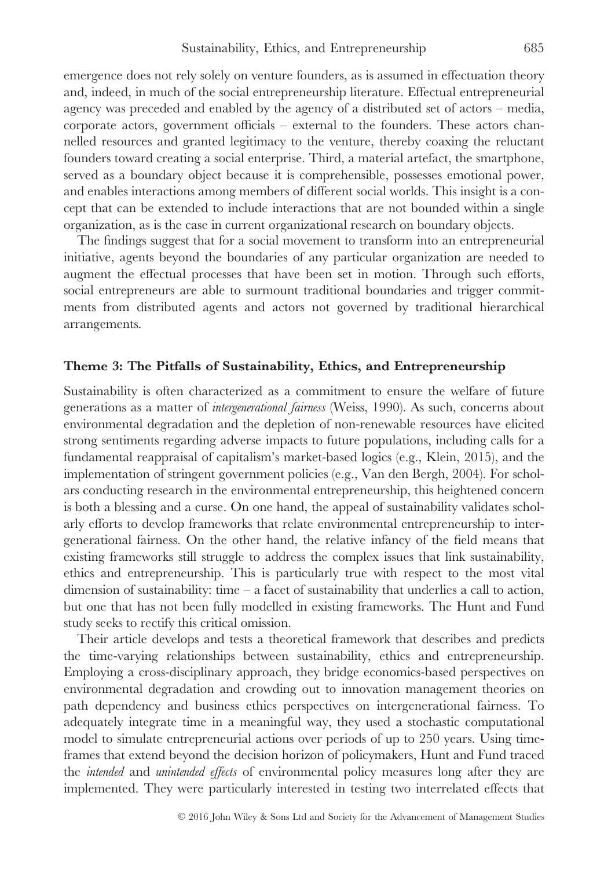emergence does not rely solely on venture founders, as is assumed in effectuation theory and, indeed, in much of the social entrepreneurship literature. Effectual entrepreneurial agency was preceded and enabled by the agency of a distributed set of actors – media, corporate actors, government officials – external to the founders. These actors channelled resources and granted legitimacy to the venture, thereby coaxing the reluctant founders toward creating a social enterprise. Third, a material artefact, the smartphone, served as a boundary object because it is comprehensible, possesses emotional power, and enables interactions among members of different social worlds. This insight is a concept that can be extended to include interactions that are not bounded within a single organization, as is the case in current organizational research on boundary objects.

The findings suggest that for a social movement to transform into an entrepreneurial initiative, agents beyond the boundaries of any particular organization are needed to augment the effectual processes that have been set in motion. Through such efforts, social entrepreneurs are able to surmount traditional boundaries and trigger commitments from distributed agents and actors not governed by traditional hierarchical arrangements.

#### Theme 3: The Pitfalls of Sustainability, Ethics, and Entrepreneurship

Sustainability is often characterized as a commitment to ensure the welfare of future generations as a matter of intergenerational fairness (Weiss, 1990). As such, concerns about environmental degradation and the depletion of non-renewable resources have elicited strong sentiments regarding adverse impacts to future populations, including calls for a fundamental reappraisal of capitalism's market-based logics (e.g., Klein, 2015), and the implementation of stringent government policies (e.g., Van den Bergh, 2004). For scholars conducting research in the environmental entrepreneurship, this heightened concern is both a blessing and a curse. On one hand, the appeal of sustainability validates scholarly efforts to develop frameworks that relate environmental entrepreneurship to intergenerational fairness. On the other hand, the relative infancy of the field means that existing frameworks still struggle to address the complex issues that link sustainability, ethics and entrepreneurship. This is particularly true with respect to the most vital dimension of sustainability: time  $-$  a facet of sustainability that underlies a call to action, but one that has not been fully modelled in existing frameworks. The Hunt and Fund study seeks to rectify this critical omission.

Their article develops and tests a theoretical framework that describes and predicts the time-varying relationships between sustainability, ethics and entrepreneurship. Employing a cross-disciplinary approach, they bridge economics-based perspectives on environmental degradation and crowding out to innovation management theories on path dependency and business ethics perspectives on intergenerational fairness. To adequately integrate time in a meaningful way, they used a stochastic computational model to simulate entrepreneurial actions over periods of up to 250 years. Using timeframes that extend beyond the decision horizon of policymakers, Hunt and Fund traced the *intended* and *unintended effects* of environmental policy measures long after they are implemented. They were particularly interested in testing two interrelated effects that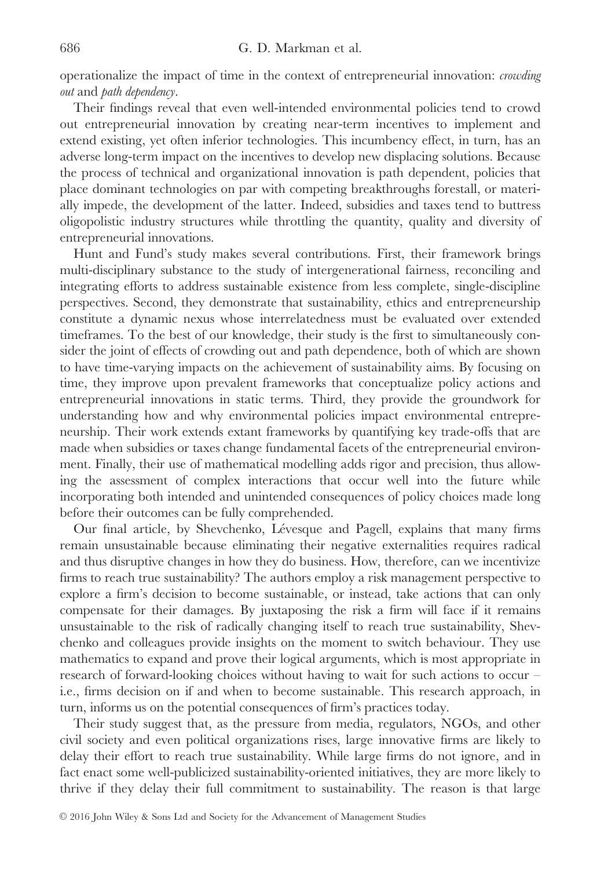operationalize the impact of time in the context of entrepreneurial innovation: crowding out and path dependency.

Their findings reveal that even well-intended environmental policies tend to crowd out entrepreneurial innovation by creating near-term incentives to implement and extend existing, yet often inferior technologies. This incumbency effect, in turn, has an adverse long-term impact on the incentives to develop new displacing solutions. Because the process of technical and organizational innovation is path dependent, policies that place dominant technologies on par with competing breakthroughs forestall, or materially impede, the development of the latter. Indeed, subsidies and taxes tend to buttress oligopolistic industry structures while throttling the quantity, quality and diversity of entrepreneurial innovations.

Hunt and Fund's study makes several contributions. First, their framework brings multi-disciplinary substance to the study of intergenerational fairness, reconciling and integrating efforts to address sustainable existence from less complete, single-discipline perspectives. Second, they demonstrate that sustainability, ethics and entrepreneurship constitute a dynamic nexus whose interrelatedness must be evaluated over extended timeframes. To the best of our knowledge, their study is the first to simultaneously consider the joint of effects of crowding out and path dependence, both of which are shown to have time-varying impacts on the achievement of sustainability aims. By focusing on time, they improve upon prevalent frameworks that conceptualize policy actions and entrepreneurial innovations in static terms. Third, they provide the groundwork for understanding how and why environmental policies impact environmental entrepreneurship. Their work extends extant frameworks by quantifying key trade-offs that are made when subsidies or taxes change fundamental facets of the entrepreneurial environment. Finally, their use of mathematical modelling adds rigor and precision, thus allowing the assessment of complex interactions that occur well into the future while incorporating both intended and unintended consequences of policy choices made long before their outcomes can be fully comprehended.

Our final article, by Shevchenko, Lévesque and Pagell, explains that many firms remain unsustainable because eliminating their negative externalities requires radical and thus disruptive changes in how they do business. How, therefore, can we incentivize firms to reach true sustainability? The authors employ a risk management perspective to explore a firm's decision to become sustainable, or instead, take actions that can only compensate for their damages. By juxtaposing the risk a firm will face if it remains unsustainable to the risk of radically changing itself to reach true sustainability, Shevchenko and colleagues provide insights on the moment to switch behaviour. They use mathematics to expand and prove their logical arguments, which is most appropriate in research of forward-looking choices without having to wait for such actions to occur – i.e., firms decision on if and when to become sustainable. This research approach, in turn, informs us on the potential consequences of firm's practices today.

Their study suggest that, as the pressure from media, regulators, NGOs, and other civil society and even political organizations rises, large innovative firms are likely to delay their effort to reach true sustainability. While large firms do not ignore, and in fact enact some well-publicized sustainability-oriented initiatives, they are more likely to thrive if they delay their full commitment to sustainability. The reason is that large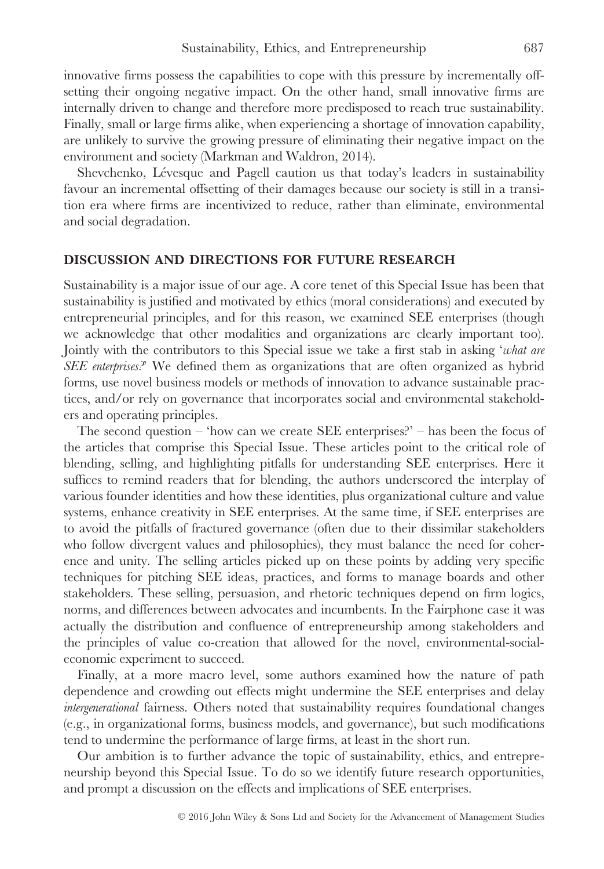innovative firms possess the capabilities to cope with this pressure by incrementally offsetting their ongoing negative impact. On the other hand, small innovative firms are internally driven to change and therefore more predisposed to reach true sustainability. Finally, small or large firms alike, when experiencing a shortage of innovation capability, are unlikely to survive the growing pressure of eliminating their negative impact on the environment and society (Markman and Waldron, 2014).

Shevchenko, Lévesque and Pagell caution us that today's leaders in sustainability favour an incremental offsetting of their damages because our society is still in a transition era where firms are incentivized to reduce, rather than eliminate, environmental and social degradation.

#### DISCUSSION AND DIRECTIONS FOR FUTURE RESEARCH

Sustainability is a major issue of our age. A core tenet of this Special Issue has been that sustainability is justified and motivated by ethics (moral considerations) and executed by entrepreneurial principles, and for this reason, we examined SEE enterprises (though we acknowledge that other modalities and organizations are clearly important too). Jointly with the contributors to this Special issue we take a first stab in asking 'what are SEE enterprises?' We defined them as organizations that are often organized as hybrid forms, use novel business models or methods of innovation to advance sustainable practices, and/or rely on governance that incorporates social and environmental stakeholders and operating principles.

The second question – 'how can we create SEE enterprises?' – has been the focus of the articles that comprise this Special Issue. These articles point to the critical role of blending, selling, and highlighting pitfalls for understanding SEE enterprises. Here it suffices to remind readers that for blending, the authors underscored the interplay of various founder identities and how these identities, plus organizational culture and value systems, enhance creativity in SEE enterprises. At the same time, if SEE enterprises are to avoid the pitfalls of fractured governance (often due to their dissimilar stakeholders who follow divergent values and philosophies), they must balance the need for coherence and unity. The selling articles picked up on these points by adding very specific techniques for pitching SEE ideas, practices, and forms to manage boards and other stakeholders. These selling, persuasion, and rhetoric techniques depend on firm logics, norms, and differences between advocates and incumbents. In the Fairphone case it was actually the distribution and confluence of entrepreneurship among stakeholders and the principles of value co-creation that allowed for the novel, environmental-socialeconomic experiment to succeed.

Finally, at a more macro level, some authors examined how the nature of path dependence and crowding out effects might undermine the SEE enterprises and delay intergenerational fairness. Others noted that sustainability requires foundational changes (e.g., in organizational forms, business models, and governance), but such modifications tend to undermine the performance of large firms, at least in the short run.

Our ambition is to further advance the topic of sustainability, ethics, and entrepreneurship beyond this Special Issue. To do so we identify future research opportunities, and prompt a discussion on the effects and implications of SEE enterprises.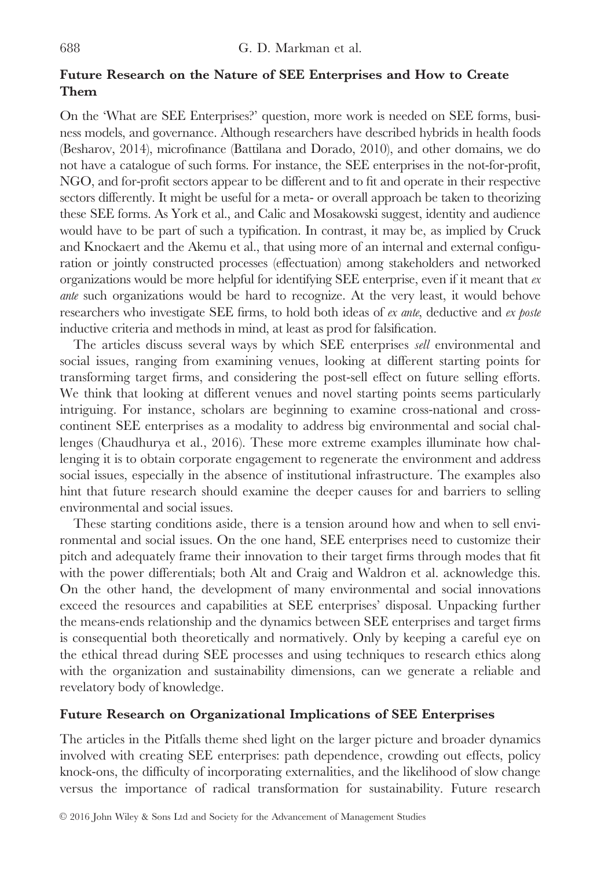#### Future Research on the Nature of SEE Enterprises and How to Create Them

On the 'What are SEE Enterprises?' question, more work is needed on SEE forms, business models, and governance. Although researchers have described hybrids in health foods (Besharov, 2014), microfinance (Battilana and Dorado, 2010), and other domains, we do not have a catalogue of such forms. For instance, the SEE enterprises in the not-for-profit, NGO, and for-profit sectors appear to be different and to fit and operate in their respective sectors differently. It might be useful for a meta- or overall approach be taken to theorizing these SEE forms. As York et al., and Calic and Mosakowski suggest, identity and audience would have to be part of such a typification. In contrast, it may be, as implied by Cruck and Knockaert and the Akemu et al., that using more of an internal and external configuration or jointly constructed processes (effectuation) among stakeholders and networked organizations would be more helpful for identifying SEE enterprise, even if it meant that ex ante such organizations would be hard to recognize. At the very least, it would behove researchers who investigate SEE firms, to hold both ideas of ex ante, deductive and ex poste inductive criteria and methods in mind, at least as prod for falsification.

The articles discuss several ways by which SEE enterprises sell environmental and social issues, ranging from examining venues, looking at different starting points for transforming target firms, and considering the post-sell effect on future selling efforts. We think that looking at different venues and novel starting points seems particularly intriguing. For instance, scholars are beginning to examine cross-national and crosscontinent SEE enterprises as a modality to address big environmental and social challenges (Chaudhurya et al., 2016). These more extreme examples illuminate how challenging it is to obtain corporate engagement to regenerate the environment and address social issues, especially in the absence of institutional infrastructure. The examples also hint that future research should examine the deeper causes for and barriers to selling environmental and social issues.

These starting conditions aside, there is a tension around how and when to sell environmental and social issues. On the one hand, SEE enterprises need to customize their pitch and adequately frame their innovation to their target firms through modes that fit with the power differentials; both Alt and Craig and Waldron et al. acknowledge this. On the other hand, the development of many environmental and social innovations exceed the resources and capabilities at SEE enterprises' disposal. Unpacking further the means-ends relationship and the dynamics between SEE enterprises and target firms is consequential both theoretically and normatively. Only by keeping a careful eye on the ethical thread during SEE processes and using techniques to research ethics along with the organization and sustainability dimensions, can we generate a reliable and revelatory body of knowledge.

#### Future Research on Organizational Implications of SEE Enterprises

The articles in the Pitfalls theme shed light on the larger picture and broader dynamics involved with creating SEE enterprises: path dependence, crowding out effects, policy knock-ons, the difficulty of incorporating externalities, and the likelihood of slow change versus the importance of radical transformation for sustainability. Future research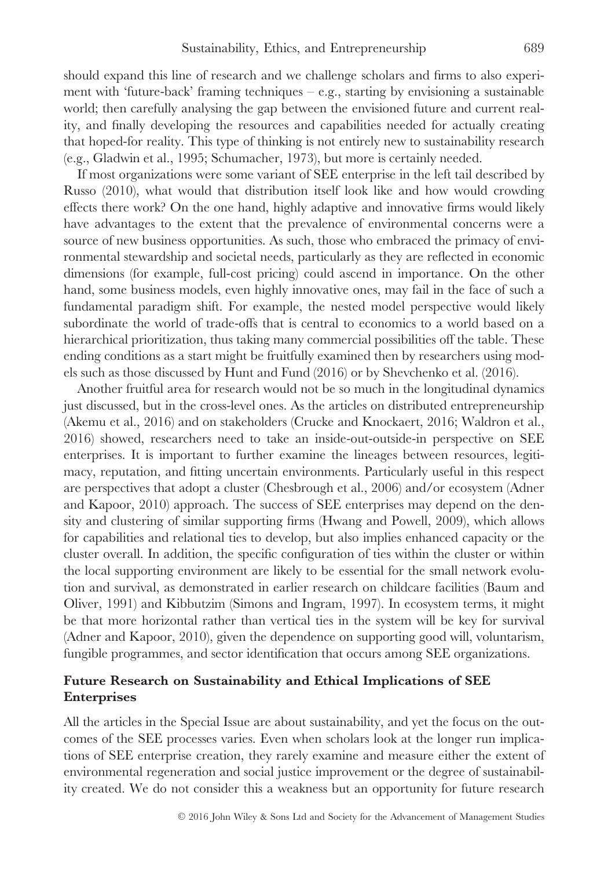should expand this line of research and we challenge scholars and firms to also experiment with 'future-back' framing techniques – e.g., starting by envisioning a sustainable world; then carefully analysing the gap between the envisioned future and current reality, and finally developing the resources and capabilities needed for actually creating that hoped-for reality. This type of thinking is not entirely new to sustainability research (e.g., Gladwin et al., 1995; Schumacher, 1973), but more is certainly needed.

If most organizations were some variant of SEE enterprise in the left tail described by Russo (2010), what would that distribution itself look like and how would crowding effects there work? On the one hand, highly adaptive and innovative firms would likely have advantages to the extent that the prevalence of environmental concerns were a source of new business opportunities. As such, those who embraced the primacy of environmental stewardship and societal needs, particularly as they are reflected in economic dimensions (for example, full-cost pricing) could ascend in importance. On the other hand, some business models, even highly innovative ones, may fail in the face of such a fundamental paradigm shift. For example, the nested model perspective would likely subordinate the world of trade-offs that is central to economics to a world based on a hierarchical prioritization, thus taking many commercial possibilities off the table. These ending conditions as a start might be fruitfully examined then by researchers using models such as those discussed by Hunt and Fund (2016) or by Shevchenko et al. (2016).

Another fruitful area for research would not be so much in the longitudinal dynamics just discussed, but in the cross-level ones. As the articles on distributed entrepreneurship (Akemu et al., 2016) and on stakeholders (Crucke and Knockaert, 2016; Waldron et al., 2016) showed, researchers need to take an inside-out-outside-in perspective on SEE enterprises. It is important to further examine the lineages between resources, legitimacy, reputation, and fitting uncertain environments. Particularly useful in this respect are perspectives that adopt a cluster (Chesbrough et al., 2006) and/or ecosystem (Adner and Kapoor, 2010) approach. The success of SEE enterprises may depend on the density and clustering of similar supporting firms (Hwang and Powell, 2009), which allows for capabilities and relational ties to develop, but also implies enhanced capacity or the cluster overall. In addition, the specific configuration of ties within the cluster or within the local supporting environment are likely to be essential for the small network evolution and survival, as demonstrated in earlier research on childcare facilities (Baum and Oliver, 1991) and Kibbutzim (Simons and Ingram, 1997). In ecosystem terms, it might be that more horizontal rather than vertical ties in the system will be key for survival (Adner and Kapoor, 2010), given the dependence on supporting good will, voluntarism, fungible programmes, and sector identification that occurs among SEE organizations.

### Future Research on Sustainability and Ethical Implications of SEE Enterprises

All the articles in the Special Issue are about sustainability, and yet the focus on the outcomes of the SEE processes varies. Even when scholars look at the longer run implications of SEE enterprise creation, they rarely examine and measure either the extent of environmental regeneration and social justice improvement or the degree of sustainability created. We do not consider this a weakness but an opportunity for future research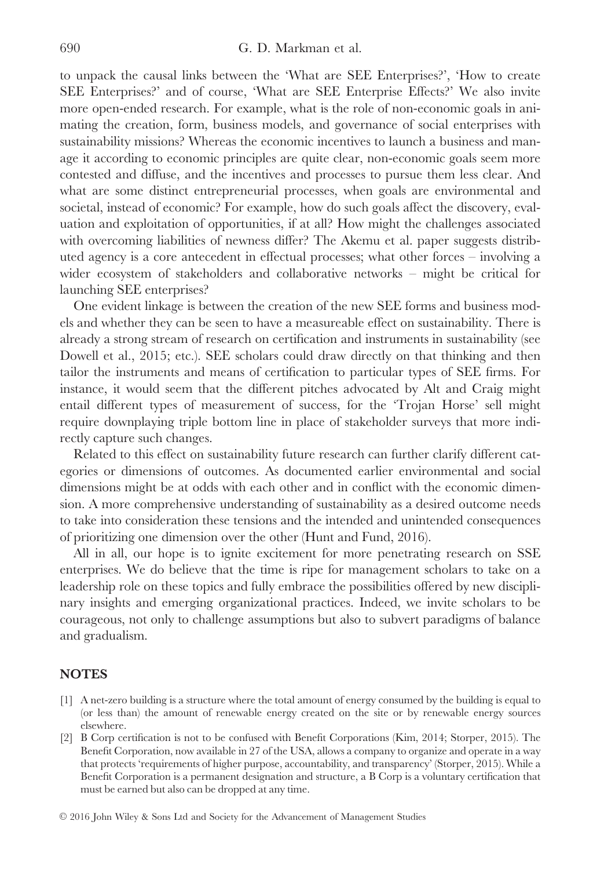to unpack the causal links between the 'What are SEE Enterprises?', 'How to create SEE Enterprises?' and of course, 'What are SEE Enterprise Effects?' We also invite more open-ended research. For example, what is the role of non-economic goals in animating the creation, form, business models, and governance of social enterprises with sustainability missions? Whereas the economic incentives to launch a business and manage it according to economic principles are quite clear, non-economic goals seem more contested and diffuse, and the incentives and processes to pursue them less clear. And what are some distinct entrepreneurial processes, when goals are environmental and societal, instead of economic? For example, how do such goals affect the discovery, evaluation and exploitation of opportunities, if at all? How might the challenges associated with overcoming liabilities of newness differ? The Akemu et al. paper suggests distributed agency is a core antecedent in effectual processes; what other forces – involving a wider ecosystem of stakeholders and collaborative networks – might be critical for launching SEE enterprises?

One evident linkage is between the creation of the new SEE forms and business models and whether they can be seen to have a measureable effect on sustainability. There is already a strong stream of research on certification and instruments in sustainability (see Dowell et al., 2015; etc.). SEE scholars could draw directly on that thinking and then tailor the instruments and means of certification to particular types of SEE firms. For instance, it would seem that the different pitches advocated by Alt and Craig might entail different types of measurement of success, for the 'Trojan Horse' sell might require downplaying triple bottom line in place of stakeholder surveys that more indirectly capture such changes.

Related to this effect on sustainability future research can further clarify different categories or dimensions of outcomes. As documented earlier environmental and social dimensions might be at odds with each other and in conflict with the economic dimension. A more comprehensive understanding of sustainability as a desired outcome needs to take into consideration these tensions and the intended and unintended consequences of prioritizing one dimension over the other (Hunt and Fund, 2016).

All in all, our hope is to ignite excitement for more penetrating research on SSE enterprises. We do believe that the time is ripe for management scholars to take on a leadership role on these topics and fully embrace the possibilities offered by new disciplinary insights and emerging organizational practices. Indeed, we invite scholars to be courageous, not only to challenge assumptions but also to subvert paradigms of balance and gradualism.

#### **NOTES**

- [1] A net-zero building is a structure where the total amount of energy consumed by the building is equal to (or less than) the amount of renewable energy created on the site or by renewable energy sources elsewhere.
- [2] B Corp certification is not to be confused with Benefit Corporations (Kim, 2014; Storper, 2015). The Benefit Corporation, now available in 27 of the USA, allows a company to organize and operate in a way that protects 'requirements of higher purpose, accountability, and transparency' (Storper, 2015). While a Benefit Corporation is a permanent designation and structure, a B Corp is a voluntary certification that must be earned but also can be dropped at any time.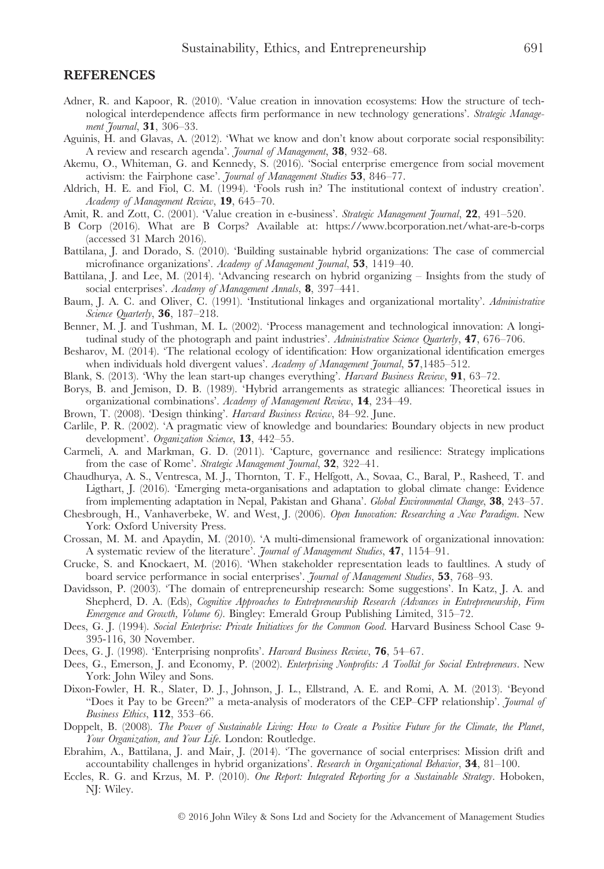#### REFERENCES

- Adner, R. and Kapoor, R. (2010). 'Value creation in innovation ecosystems: How the structure of technological interdependence affects firm performance in new technology generations'. Strategic Management Journal, **31**, 306-33.
- Aguinis, H. and Glavas, A. (2012). 'What we know and don't know about corporate social responsibility: A review and research agenda'. Journal of Management, 38, 932–68.
- Akemu, O., Whiteman, G. and Kennedy, S. (2016). 'Social enterprise emergence from social movement activism: the Fairphone case'. *Journal of Management Studies* 53, 846–77.
- Aldrich, H. E. and Fiol, C. M. (1994). 'Fools rush in? The institutional context of industry creation'. Academy of Management Review, 19, 645–70.
- Amit, R. and Zott, C. (2001). 'Value creation in e-business'. Strategic Management Journal, 22, 491-520.
- B Corp (2016). What are B Corps? Available at: [https://www.bcorporation.net/what-are-b-corps](http://https://www.bcorporation.net/what-are-b-corps) (accessed 31 March 2016).
- Battilana, J. and Dorado, S. (2010). 'Building sustainable hybrid organizations: The case of commercial microfinance organizations'. Academy of Management Journal, 53, 1419–40.
- Battilana, J. and Lee, M. (2014). 'Advancing research on hybrid organizing Insights from the study of social enterprises'. Academy of Management Annals, 8, 397-441.
- Baum, J. A. C. and Oliver, C. (1991). 'Institutional linkages and organizational mortality'. Administrative Science Quarterly, 36, 187-218.
- Benner, M. J. and Tushman, M. L. (2002). 'Process management and technological innovation: A longitudinal study of the photograph and paint industries'. Administrative Science Quarterly, **47**, 676–706.
- Besharov, M. (2014). 'The relational ecology of identification: How organizational identification emerges when individuals hold divergent values'. Academy of Management Journal, 57,1485–512.
- Blank, S. (2013). 'Why the lean start-up changes everything'. Harvard Business Review, 91, 63–72.
- Borys, B. and Jemison, D. B. (1989). 'Hybrid arrangements as strategic alliances: Theoretical issues in organizational combinations'. Academy of Management Review, 14, 234–49.
- Brown, T. (2008). 'Design thinking'. Harvard Business Review, 84–92. June.
- Carlile, P. R. (2002). 'A pragmatic view of knowledge and boundaries: Boundary objects in new product development'. Organization Science, 13, 442-55.
- Carmeli, A. and Markman, G. D. (2011). 'Capture, governance and resilience: Strategy implications from the case of Rome'. Strategic Management Journal, 32, 322-41.
- Chaudhurya, A. S., Ventresca, M. J., Thornton, T. F., Helfgott, A., Sovaa, C., Baral, P., Rasheed, T. and Ligthart, J. (2016). 'Emerging meta-organisations and adaptation to global climate change: Evidence from implementing adaptation in Nepal, Pakistan and Ghana'. Global Environmental Change, 38, 243–57.
- Chesbrough, H., Vanhaverbeke, W. and West, J. (2006). Open Innovation: Researching a New Paradigm. New York: Oxford University Press.
- Crossan, M. M. and Apaydin, M. (2010). 'A multi-dimensional framework of organizational innovation: A systematic review of the literature'. Journal of Management Studies, 47, 1154-91.
- Crucke, S. and Knockaert, M. (2016). 'When stakeholder representation leads to faultlines. A study of board service performance in social enterprises'. Journal of Management Studies, 53, 768–93.
- Davidsson, P. (2003). 'The domain of entrepreneurship research: Some suggestions'. In Katz, J. A. and Shepherd, D. A. (Eds), Cognitive Approaches to Entrepreneurship Research (Advances in Entrepreneurship, Firm Emergence and Growth, Volume 6). Bingley: Emerald Group Publishing Limited, 315–72.
- Dees, G. J. (1994). Social Enterprise: Private Initiatives for the Common Good. Harvard Business School Case 9-395-116, 30 November.
- Dees, G. J. (1998). 'Enterprising nonprofits'. Harvard Business Review, 76, 54–67.
- Dees, G., Emerson, J. and Economy, P. (2002). *Enterprising Nonprofits: A Toolkit for Social Entrepreneurs*. New York: John Wiley and Sons.
- Dixon-Fowler, H. R., Slater, D. J., Johnson, J. L., Ellstrand, A. E. and Romi, A. M. (2013). 'Beyond "Does it Pay to be Green?" a meta-analysis of moderators of the CEP–CFP relationship'. Journal of Business Ethics, 112, 353–66.
- Doppelt, B. (2008). The Power of Sustainable Living: How to Create a Positive Future for the Climate, the Planet, Your Organization, and Your Life. London: Routledge.
- Ebrahim, A., Battilana, J. and Mair, J. (2014). 'The governance of social enterprises: Mission drift and accountability challenges in hybrid organizations'. Research in Organizational Behavior, 34, 81–100.
- Eccles, R. G. and Krzus, M. P. (2010). One Report: Integrated Reporting for a Sustainable Strategy. Hoboken, NJ: Wiley.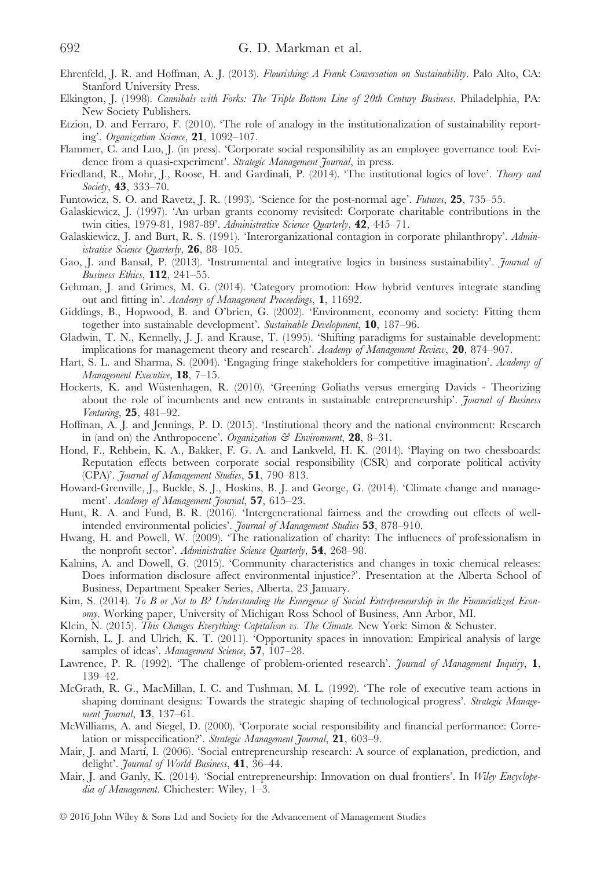- Ehrenfeld, J. R. and Hoffman, A. J. (2013). Flourishing: A Frank Conversation on Sustainability. Palo Alto, CA: Stanford University Press.
- Elkington, J. (1998). Cannibals with Forks: The Triple Bottom Line of 20th Century Business. Philadelphia, PA: New Society Publishers.
- Etzion, D. and Ferraro, F. (2010). 'The role of analogy in the institutionalization of sustainability reporting'. Organization Science, 21, 1092–107.
- Flammer, C. and Luo, J. (in press). 'Corporate social responsibility as an employee governance tool: Evidence from a quasi-experiment'. Strategic Management Journal, in press.
- Friedland, R., Mohr, J., Roose, H. and Gardinali, P. (2014). 'The institutional logics of love'. Theory and Society, **43**, 333–70.
- Funtowicz, S. O. and Ravetz, J. R. (1993). 'Science for the post-normal age'. Futures, 25, 735–55.
- Galaskiewicz, J. (1997). 'An urban grants economy revisited: Corporate charitable contributions in the twin cities, 1979-81, 1987-89'. Administrative Science Quarterly, 42, 445-71.
- Galaskiewicz, J. and Burt, R. S. (1991). 'Interorganizational contagion in corporate philanthropy'. Administrative Science Quarterly, 26, 88–105.
- Gao, J. and Bansal, P. (2013). 'Instrumental and integrative logics in business sustainability'. *Journal of* Business Ethics, 112, 241–55.
- Gehman, J. and Grimes, M. G. (2014). 'Category promotion: How hybrid ventures integrate standing out and fitting in'. Academy of Management Proceedings, 1, 11692.
- Giddings, B., Hopwood, B. and O'brien, G. (2002). 'Environment, economy and society: Fitting them together into sustainable development'. Sustainable Development, 10, 187–96.
- Gladwin, T. N., Kennelly, J. J. and Krause, T. (1995). 'Shifting paradigms for sustainable development: implications for management theory and research'. Academy of Management Review, 20, 874–907.
- Hart, S. L. and Sharma, S. (2004). 'Engaging fringe stakeholders for competitive imagination'. Academy of Management Executive, 18, 7-15.
- Hockerts, K. and Wüstenhagen, R. (2010). 'Greening Goliaths versus emerging Davids Theorizing about the role of incumbents and new entrants in sustainable entrepreneurship'. Journal of Business Venturing, 25, 481–92.
- Hoffman, A. J. and Jennings, P. D. (2015). 'Institutional theory and the national environment: Research in (and on) the Anthropocene'. Organization  $\mathcal{C}$  Environment, 28, 8-31.
- Hond, F., Rehbein, K. A., Bakker, F. G. A. and Lankveld, H. K. (2014). 'Playing on two chessboards: Reputation effects between corporate social responsibility (CSR) and corporate political activity (CPA)'. Journal of Management Studies, 51, 790–813.
- Howard-Grenville, J., Buckle, S. J., Hoskins, B. J. and George, G. (2014). 'Climate change and management'. Academy of Management Journal, 57, 615–23.
- Hunt, R. A. and Fund, B. R. (2016). 'Intergenerational fairness and the crowding out effects of wellintended environmental policies'. *Journal of Management Studies* 53, 878–910.
- Hwang, H. and Powell, W. (2009). 'The rationalization of charity: The influences of professionalism in the nonprofit sector'. Administrative Science Quarterly, 54, 268-98.
- Kalnins, A. and Dowell, G. (2015). 'Community characteristics and changes in toxic chemical releases: Does information disclosure affect environmental injustice?'. Presentation at the Alberta School of Business, Department Speaker Series, Alberta, 23 January.
- Kim, S. (2014). To B or Not to B? Understanding the Emergence of Social Entrepreneurship in the Financialized Economy. Working paper, University of Michigan Ross School of Business, Ann Arbor, MI.
- Klein, N. (2015). This Changes Everything: Capitalism vs. The Climate. New York: Simon & Schuster.
- Kornish, L. J. and Ulrich, K. T. (2011). 'Opportunity spaces in innovation: Empirical analysis of large samples of ideas'. Management Science, **57**, 107–28.
- Lawrence, P. R. (1992). 'The challenge of problem-oriented research'. Journal of Management Inquiry, 1, 139–42.
- McGrath, R. G., MacMillan, I. C. and Tushman, M. L. (1992). 'The role of executive team actions in shaping dominant designs: Towards the strategic shaping of technological progress'. Strategic Management Journal, **13**, 137–61.
- McWilliams, A. and Siegel, D. (2000). 'Corporate social responsibility and financial performance: Correlation or misspecification?'. Strategic Management Journal, 21, 603-9.
- Mair, J. and Martí, I. (2006). 'Social entrepreneurship research: A source of explanation, prediction, and delight'. Journal of World Business, **41**, 36-44.
- Mair, J. and Ganly, K. (2014). 'Social entrepreneurship: Innovation on dual frontiers'. In Wiley Encyclopedia of Management. Chichester: Wiley, 1–3.
- V<sup>C</sup> 2016 John Wiley & Sons Ltd and Society for the Advancement of Management Studies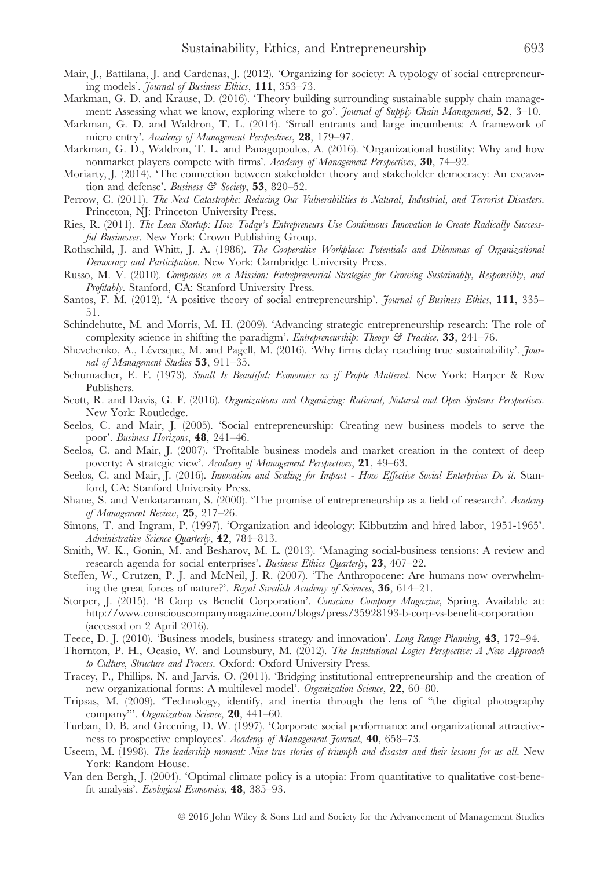- Mair, J., Battilana, J. and Cardenas, J. (2012). 'Organizing for society: A typology of social entrepreneuring models'. Journal of Business Ethics, 111, 353–73.
- Markman, G. D. and Krause, D. (2016). 'Theory building surrounding sustainable supply chain management: Assessing what we know, exploring where to go'. *Journal of Supply Chain Management*, **52**,  $3-10$ .
- Markman, G. D. and Waldron, T. L. (2014). 'Small entrants and large incumbents: A framework of micro entry'. Academy of Management Perspectives, 28, 179-97.
- Markman, G. D., Waldron, T. L. and Panagopoulos, A. (2016). 'Organizational hostility: Why and how nonmarket players compete with firms'. Academy of Management Perspectives, 30, 74–92.
- Moriarty, J. (2014). 'The connection between stakeholder theory and stakeholder democracy: An excavation and defense'. Business  $\mathcal{C}$  Society, **53**, 820–52.
- Perrow, C. (2011). The Next Catastrophe: Reducing Our Vulnerabilities to Natural, Industrial, and Terrorist Disasters. Princeton, NJ: Princeton University Press.
- Ries, R. (2011). The Lean Startup: How Today's Entrepreneurs Use Continuous Innovation to Create Radically Successful Businesses. New York: Crown Publishing Group.
- Rothschild, J. and Whitt, J. A. (1986). The Cooperative Workplace: Potentials and Dilemmas of Organizational Democracy and Participation. New York: Cambridge University Press.
- Russo, M. V. (2010). Companies on a Mission: Entrepreneurial Strategies for Growing Sustainably, Responsibly, and Profitably. Stanford, CA: Stanford University Press.
- Santos, F. M. (2012). 'A positive theory of social entrepreneurship'. Journal of Business Ethics, 111, 335– 51.
- Schindehutte, M. and Morris, M. H. (2009). 'Advancing strategic entrepreneurship research: The role of complexity science in shifting the paradigm'. *Entrepreneurship: Theory*  $\mathcal{C}$  *Practice*, **33**, 241–76.
- Shevchenko, A., Lévesque, M. and Pagell, M. (2016). 'Why firms delay reaching true sustainability'. *Jour*nal of Management Studies  $53$ ,  $911-35$ .
- Schumacher, E. F. (1973). Small Is Beautiful: Economics as if People Mattered. New York: Harper & Row Publishers.
- Scott, R. and Davis, G. F. (2016). Organizations and Organizing: Rational, Natural and Open Systems Perspectives. New York: Routledge.
- Seelos, C. and Mair, J. (2005). 'Social entrepreneurship: Creating new business models to serve the poor'. Business Horizons, 48, 241-46.
- Seelos, C. and Mair, J. (2007). 'Profitable business models and market creation in the context of deep poverty: A strategic view'. Academy of Management Perspectives, 21, 49–63.
- Seelos, C. and Mair, J. (2016). Innovation and Scaling for Impact How Effective Social Enterprises Do it. Stanford, CA: Stanford University Press.
- Shane, S. and Venkataraman, S. (2000). 'The promise of entrepreneurship as a field of research'. Academy of Management Review, 25, 217–26.
- Simons, T. and Ingram, P. (1997). 'Organization and ideology: Kibbutzim and hired labor, 1951-1965'. Administrative Science Quarterly, 42, 784-813.
- Smith, W. K., Gonin, M. and Besharov, M. L. (2013). 'Managing social-business tensions: A review and research agenda for social enterprises'. Business Ethics Quarterly, 23, 407–22.
- Steffen, W., Crutzen, P. J. and McNeil, J. R. (2007). 'The Anthropocene: Are humans now overwhelming the great forces of nature?'. Royal Swedish Academy of Sciences, 36, 614–21.
- Storper, J. (2015). 'B Corp vs Benefit Corporation'. Conscious Company Magazine, Spring. Available at: <http://www.consciouscompanymagazine.com/blogs/press/35928193-b-corp-vs-benefit-corporation> (accessed on 2 April 2016).
- Teece, D. J. (2010). 'Business models, business strategy and innovation'. Long Range Planning, 43, 172–94.
- Thornton, P. H., Ocasio, W. and Lounsbury, M. (2012). The Institutional Logics Perspective: A New Approach to Culture, Structure and Process. Oxford: Oxford University Press.
- Tracey, P., Phillips, N. and Jarvis, O. (2011). 'Bridging institutional entrepreneurship and the creation of new organizational forms: A multilevel model'. Organization Science, 22, 60–80.
- Tripsas, M. (2009). 'Technology, identify, and inertia through the lens of "the digital photography company"'. Organization Science, 20, 441-60.
- Turban, D. B. and Greening, D. W. (1997). 'Corporate social performance and organizational attractiveness to prospective employees'. Academy of Management Journal, 40, 658–73.
- Useem, M. (1998). The leadership moment: Nine true stories of triumph and disaster and their lessons for us all. New York: Random House.
- Van den Bergh, J. (2004). 'Optimal climate policy is a utopia: From quantitative to qualitative cost-benefit analysis'. Ecological Economics, 48, 385–93.